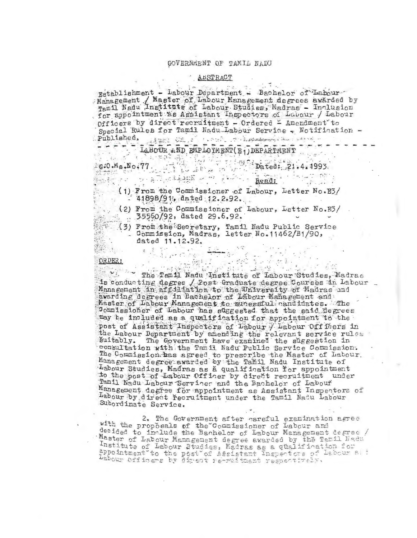### GOVERNMENT OF TAMIL NADU

## ABSTRACT

Establishment - Labour Department - Bachelor of Labour<br>Management / Master of Labour Management degrees awarded by<br>Tamil Nadu Institute of Labour Studies, Madras - Inclusion Mary J. M. for appointment as Assistant Inspectors of Labour / Labour officers by direct recruitment - Ordered - Amendment to Special Rules for Tamil Nadu-Labour Service - Notification -Published,

Published.<br>
- - - - - - LaBOUR AND EMPLOYMENT (E1) DEPARTMENT .<br>
- G20.Ma,No.77.

 $\mathcal{O} = \mathfrak{g}_1 \overline{\mathbb{C}^2} \left( \mathcal{O} \right) \oplus \mathfrak{g}_2 \oplus \mathfrak{g}_3 \oplus \mathfrak{g}_4 \oplus \mathfrak{g}_5 \oplus \mathfrak{g}_6 \oplus \mathfrak{g}_7 \right)$ 

 $1.5.7$ 

Read: (1) From the Commissioner of Labour, Letter No.E3/  $-41898/91$ , dated 12.2.92.  $\ddot{\phantom{1}}$ 

(2) From the Commissioner of Labour, Letter No. E3/  $35560/92$ , dated 29.6.92.

(3) From the Secretary, Tamil Nadu Public Service<br>Commission, Madras, letter No. 11462/B1/90, dated 11.12.92. THE SECTION

## ORDER:

RDER:<br>PRDER: The Tam 11 Nadu Institute of Labour Studies, Madras is conducting degree / Post Graduate degree Courses in Labour awarding degrees in Bachelor of Labour Management and Master of Labour Management to sucessful candidates. The Jommissioner of Labour has suggested that the said degrees may be included as a qualification for appointment to the post of Assistant Inspectors of Labour / Labour Off fers in the Labour Department by amending the relevant service rules Suitably. The Government have examined the suggestion in<br>consultation with the Tamil Nadu Public Service Commission.<br>The Commission has agreed to prescribe the Master of Labour.<br>Management degree awarded by the Tamil Nadu Labour Studies, Madras as a qualification for appointment<br>to the post of Labour Officer by direct recruitment under Tamil Nadu Labour Servicer and the Bachelor of Labour Management degree for appointment as Assistant Inspectors of Labour by direct recruitment under the Tamil Nadu Labour Subordinate Service.

2. The Government after careful examination agree with the proposals of the Commissioner of Labour and decided to include the Bachelor of Labour Management degree / Master of Labour Management degree awarded by the Tamil Nedu Institute of Labour Studies, Madras as a qualification for appointment to the post of Assistant Inspectors of Labour a. : Labour Officers by direct re-ruitment respectively.